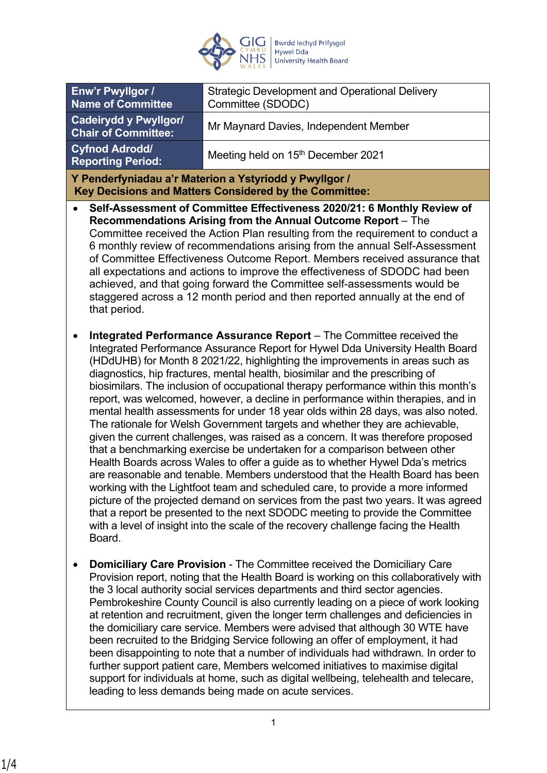

|                                                                                                                  | Enw'r Pwyllgor /<br><b>Name of Committee</b>                                                                                                                                                                                                                                                                                                                                                                                                                                                                                                                                                                                                                                                                                                                                                                                                                                                                                                                                                                                                                                                                                                                                                                                                                                                                                                                   | <b>Strategic Development and Operational Delivery</b><br>Committee (SDODC)                                                                                                                                                                                                                                                                                                                                                                                                                                                                                                                                                                                                                                                                                                                                                                                                                                                       |
|------------------------------------------------------------------------------------------------------------------|----------------------------------------------------------------------------------------------------------------------------------------------------------------------------------------------------------------------------------------------------------------------------------------------------------------------------------------------------------------------------------------------------------------------------------------------------------------------------------------------------------------------------------------------------------------------------------------------------------------------------------------------------------------------------------------------------------------------------------------------------------------------------------------------------------------------------------------------------------------------------------------------------------------------------------------------------------------------------------------------------------------------------------------------------------------------------------------------------------------------------------------------------------------------------------------------------------------------------------------------------------------------------------------------------------------------------------------------------------------|----------------------------------------------------------------------------------------------------------------------------------------------------------------------------------------------------------------------------------------------------------------------------------------------------------------------------------------------------------------------------------------------------------------------------------------------------------------------------------------------------------------------------------------------------------------------------------------------------------------------------------------------------------------------------------------------------------------------------------------------------------------------------------------------------------------------------------------------------------------------------------------------------------------------------------|
| <b>Cadeirydd y Pwyllgor/</b><br><b>Chair of Committee:</b>                                                       |                                                                                                                                                                                                                                                                                                                                                                                                                                                                                                                                                                                                                                                                                                                                                                                                                                                                                                                                                                                                                                                                                                                                                                                                                                                                                                                                                                | Mr Maynard Davies, Independent Member                                                                                                                                                                                                                                                                                                                                                                                                                                                                                                                                                                                                                                                                                                                                                                                                                                                                                            |
|                                                                                                                  | <b>Cyfnod Adrodd/</b><br><b>Reporting Period:</b>                                                                                                                                                                                                                                                                                                                                                                                                                                                                                                                                                                                                                                                                                                                                                                                                                                                                                                                                                                                                                                                                                                                                                                                                                                                                                                              | Meeting held on 15 <sup>th</sup> December 2021                                                                                                                                                                                                                                                                                                                                                                                                                                                                                                                                                                                                                                                                                                                                                                                                                                                                                   |
| Y Penderfyniadau a'r Materion a Ystyriodd y Pwyllgor /<br>Key Decisions and Matters Considered by the Committee: |                                                                                                                                                                                                                                                                                                                                                                                                                                                                                                                                                                                                                                                                                                                                                                                                                                                                                                                                                                                                                                                                                                                                                                                                                                                                                                                                                                |                                                                                                                                                                                                                                                                                                                                                                                                                                                                                                                                                                                                                                                                                                                                                                                                                                                                                                                                  |
| $\bullet$                                                                                                        | Self-Assessment of Committee Effectiveness 2020/21: 6 Monthly Review of<br>Recommendations Arising from the Annual Outcome Report - The<br>Committee received the Action Plan resulting from the requirement to conduct a<br>6 monthly review of recommendations arising from the annual Self-Assessment<br>of Committee Effectiveness Outcome Report. Members received assurance that<br>all expectations and actions to improve the effectiveness of SDODC had been<br>achieved, and that going forward the Committee self-assessments would be<br>staggered across a 12 month period and then reported annually at the end of<br>that period.                                                                                                                                                                                                                                                                                                                                                                                                                                                                                                                                                                                                                                                                                                               |                                                                                                                                                                                                                                                                                                                                                                                                                                                                                                                                                                                                                                                                                                                                                                                                                                                                                                                                  |
| $\bullet$                                                                                                        | Integrated Performance Assurance Report - The Committee received the<br>Integrated Performance Assurance Report for Hywel Dda University Health Board<br>(HDdUHB) for Month 8 2021/22, highlighting the improvements in areas such as<br>diagnostics, hip fractures, mental health, biosimilar and the prescribing of<br>biosimilars. The inclusion of occupational therapy performance within this month's<br>report, was welcomed, however, a decline in performance within therapies, and in<br>mental health assessments for under 18 year olds within 28 days, was also noted.<br>The rationale for Welsh Government targets and whether they are achievable,<br>given the current challenges, was raised as a concern. It was therefore proposed<br>that a benchmarking exercise be undertaken for a comparison between other<br>Health Boards across Wales to offer a guide as to whether Hywel Dda's metrics<br>are reasonable and tenable. Members understood that the Health Board has been<br>working with the Lightfoot team and scheduled care, to provide a more informed<br>picture of the projected demand on services from the past two years. It was agreed<br>that a report be presented to the next SDODC meeting to provide the Committee<br>with a level of insight into the scale of the recovery challenge facing the Health<br>Board. |                                                                                                                                                                                                                                                                                                                                                                                                                                                                                                                                                                                                                                                                                                                                                                                                                                                                                                                                  |
| $\bullet$                                                                                                        |                                                                                                                                                                                                                                                                                                                                                                                                                                                                                                                                                                                                                                                                                                                                                                                                                                                                                                                                                                                                                                                                                                                                                                                                                                                                                                                                                                | <b>Domiciliary Care Provision - The Committee received the Domiciliary Care</b><br>Provision report, noting that the Health Board is working on this collaboratively with<br>the 3 local authority social services departments and third sector agencies.<br>Pembrokeshire County Council is also currently leading on a piece of work looking<br>at retention and recruitment, given the longer term challenges and deficiencies in<br>the domiciliary care service. Members were advised that although 30 WTE have<br>been recruited to the Bridging Service following an offer of employment, it had<br>been disappointing to note that a number of individuals had withdrawn. In order to<br>further support patient care, Members welcomed initiatives to maximise digital<br>support for individuals at home, such as digital wellbeing, telehealth and telecare,<br>leading to less demands being made on acute services. |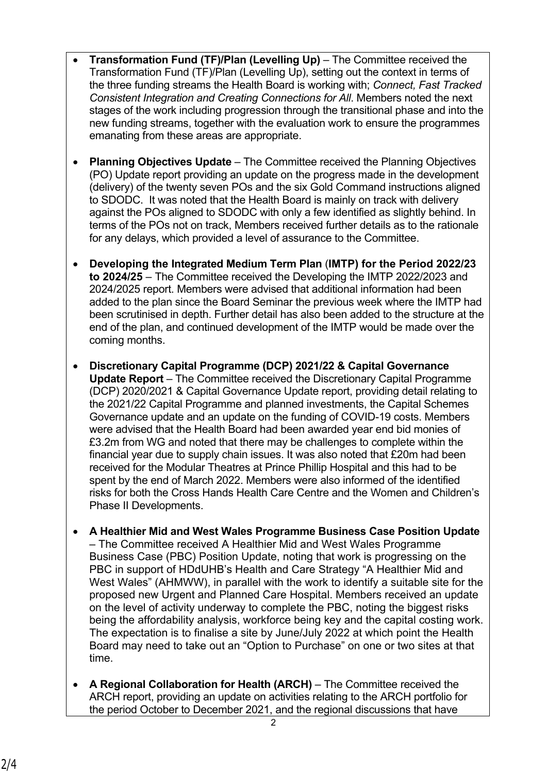- **Transformation Fund (TF)/Plan (Levelling Up)** The Committee received the Transformation Fund (TF)/Plan (Levelling Up), setting out the context in terms of the three funding streams the Health Board is working with; *Connect, Fast Tracked Consistent Integration and Creating Connections for All*. Members noted the next stages of the work including progression through the transitional phase and into the new funding streams, together with the evaluation work to ensure the programmes emanating from these areas are appropriate.
- **Planning Objectives Update** The Committee received the Planning Objectives (PO) Update report providing an update on the progress made in the development (delivery) of the twenty seven POs and the six Gold Command instructions aligned to SDODC. It was noted that the Health Board is mainly on track with delivery against the POs aligned to SDODC with only a few identified as slightly behind. In terms of the POs not on track, Members received further details as to the rationale for any delays, which provided a level of assurance to the Committee.
- **Developing the Integrated Medium Term Plan** (**IMTP) for the Period 2022/23 to 2024/25** – The Committee received the Developing the IMTP 2022/2023 and 2024/2025 report. Members were advised that additional information had been added to the plan since the Board Seminar the previous week where the IMTP had been scrutinised in depth. Further detail has also been added to the structure at the end of the plan, and continued development of the IMTP would be made over the coming months.
- **Discretionary Capital Programme (DCP) 2021/22 & Capital Governance Update Report** – The Committee received the Discretionary Capital Programme (DCP) 2020/2021 & Capital Governance Update report, providing detail relating to the 2021/22 Capital Programme and planned investments, the Capital Schemes Governance update and an update on the funding of COVID-19 costs. Members were advised that the Health Board had been awarded year end bid monies of £3.2m from WG and noted that there may be challenges to complete within the financial year due to supply chain issues. It was also noted that £20m had been received for the Modular Theatres at Prince Phillip Hospital and this had to be spent by the end of March 2022. Members were also informed of the identified risks for both the Cross Hands Health Care Centre and the Women and Children's Phase II Developments.
- **A Healthier Mid and West Wales Programme Business Case Position Update**  – The Committee received A Healthier Mid and West Wales Programme Business Case (PBC) Position Update, noting that work is progressing on the PBC in support of HDdUHB's Health and Care Strategy "A Healthier Mid and West Wales" (AHMWW), in parallel with the work to identify a suitable site for the proposed new Urgent and Planned Care Hospital. Members received an update on the level of activity underway to complete the PBC, noting the biggest risks being the affordability analysis, workforce being key and the capital costing work. The expectation is to finalise a site by June/July 2022 at which point the Health Board may need to take out an "Option to Purchase" on one or two sites at that time.
- **A Regional Collaboration for Health (ARCH)**  The Committee received the ARCH report, providing an update on activities relating to the ARCH portfolio for the period October to December 2021, and the regional discussions that have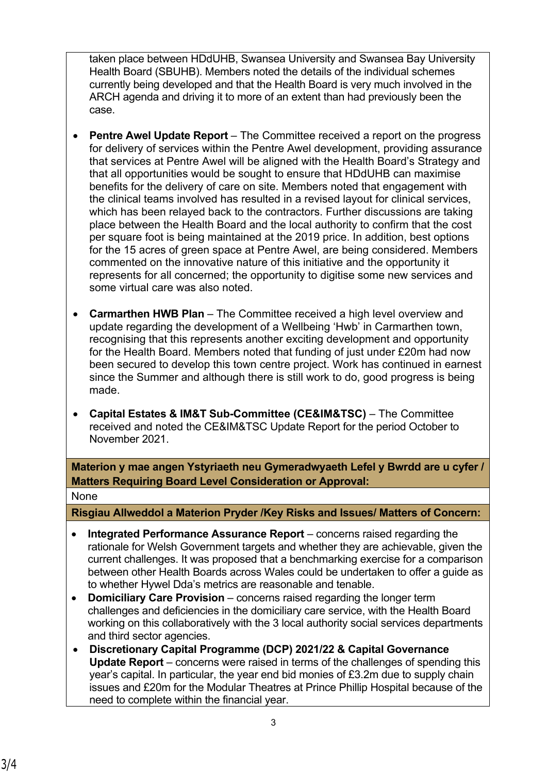taken place between HDdUHB, Swansea University and Swansea Bay University Health Board (SBUHB). Members noted the details of the individual schemes currently being developed and that the Health Board is very much involved in the ARCH agenda and driving it to more of an extent than had previously been the case.

- **Pentre Awel Update Report** The Committee received a report on the progress for delivery of services within the Pentre Awel development, providing assurance that services at Pentre Awel will be aligned with the Health Board's Strategy and that all opportunities would be sought to ensure that HDdUHB can maximise benefits for the delivery of care on site. Members noted that engagement with the clinical teams involved has resulted in a revised layout for clinical services, which has been relayed back to the contractors. Further discussions are taking place between the Health Board and the local authority to confirm that the cost per square foot is being maintained at the 2019 price. In addition, best options for the 15 acres of green space at Pentre Awel, are being considered. Members commented on the innovative nature of this initiative and the opportunity it represents for all concerned; the opportunity to digitise some new services and some virtual care was also noted.
- **Carmarthen HWB Plan** The Committee received a high level overview and update regarding the development of a Wellbeing 'Hwb' in Carmarthen town, recognising that this represents another exciting development and opportunity for the Health Board. Members noted that funding of just under £20m had now been secured to develop this town centre project. Work has continued in earnest since the Summer and although there is still work to do, good progress is being made.
- **Capital Estates & IM&T Sub-Committee (CE&IM&TSC)** The Committee received and noted the CE&IM&TSC Update Report for the period October to November 2021.

**Materion y mae angen Ystyriaeth neu Gymeradwyaeth Lefel y Bwrdd are u cyfer / Matters Requiring Board Level Consideration or Approval:**

## None

**Risgiau Allweddol a Materion Pryder /Key Risks and Issues/ Matters of Concern:**

- **Integrated Performance Assurance Report** concerns raised regarding the rationale for Welsh Government targets and whether they are achievable, given the current challenges. It was proposed that a benchmarking exercise for a comparison between other Health Boards across Wales could be undertaken to offer a guide as to whether Hywel Dda's metrics are reasonable and tenable.
- **Domiciliary Care Provision** concerns raised regarding the longer term challenges and deficiencies in the domiciliary care service, with the Health Board working on this collaboratively with the 3 local authority social services departments and third sector agencies.
- **Discretionary Capital Programme (DCP) 2021/22 & Capital Governance Update Report** – concerns were raised in terms of the challenges of spending this year's capital. In particular, the year end bid monies of £3.2m due to supply chain issues and £20m for the Modular Theatres at Prince Phillip Hospital because of the need to complete within the financial year.